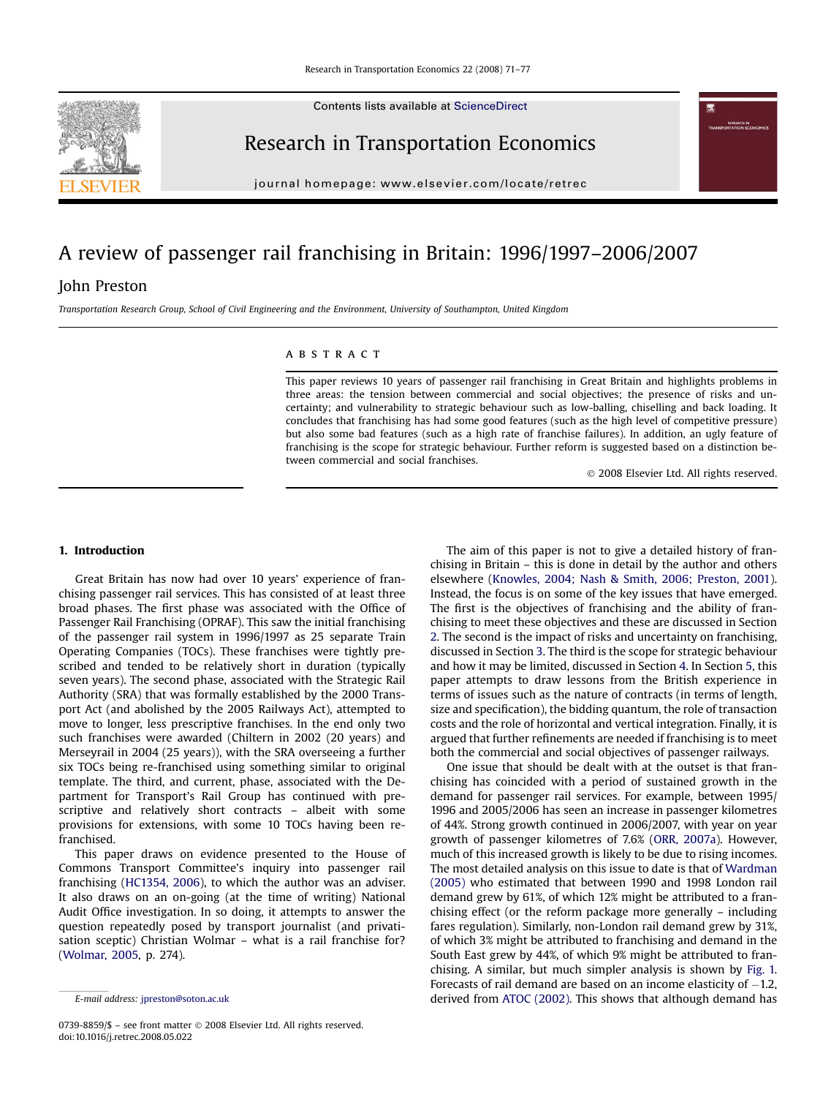Contents lists available at [ScienceDirect](http://sciencedirect.com/science/journal/07398859)



journal homepage: [www.elsevier.com/locate/retrec](http://www.elsevier.com/locate/retrec)

## A review of passenger rail franchising in Britain: 1996/1997–2006/2007

### John Preston

Transportation Research Group, School of Civil Engineering and the Environment, University of Southampton, United Kingdom

#### **ABSTRACT**

This paper reviews 10 years of passenger rail franchising in Great Britain and highlights problems in three areas: the tension between commercial and social objectives; the presence of risks and uncertainty; and vulnerability to strategic behaviour such as low-balling, chiselling and back loading. It concludes that franchising has had some good features (such as the high level of competitive pressure) but also some bad features (such as a high rate of franchise failures). In addition, an ugly feature of franchising is the scope for strategic behaviour. Further reform is suggested based on a distinction between commercial and social franchises.

- 2008 Elsevier Ltd. All rights reserved.

#### 1. Introduction

Great Britain has now had over 10 years' experience of franchising passenger rail services. This has consisted of at least three broad phases. The first phase was associated with the Office of Passenger Rail Franchising (OPRAF). This saw the initial franchising of the passenger rail system in 1996/1997 as 25 separate Train Operating Companies (TOCs). These franchises were tightly prescribed and tended to be relatively short in duration (typically seven years). The second phase, associated with the Strategic Rail Authority (SRA) that was formally established by the 2000 Transport Act (and abolished by the 2005 Railways Act), attempted to move to longer, less prescriptive franchises. In the end only two such franchises were awarded (Chiltern in 2002 (20 years) and Merseyrail in 2004 (25 years)), with the SRA overseeing a further six TOCs being re-franchised using something similar to original template. The third, and current, phase, associated with the Department for Transport's Rail Group has continued with prescriptive and relatively short contracts – albeit with some provisions for extensions, with some 10 TOCs having been refranchised.

This paper draws on evidence presented to the House of Commons Transport Committee's inquiry into passenger rail franchising ([HC1354, 2006\)](#page--1-0), to which the author was an adviser. It also draws on an on-going (at the time of writing) National Audit Office investigation. In so doing, it attempts to answer the question repeatedly posed by transport journalist (and privatisation sceptic) Christian Wolmar – what is a rail franchise for? ([Wolmar, 2005](#page--1-0), p. 274).

The aim of this paper is not to give a detailed history of franchising in Britain – this is done in detail by the author and others elsewhere ([Knowles, 2004; Nash & Smith, 2006; Preston, 2001\)](#page--1-0). Instead, the focus is on some of the key issues that have emerged. The first is the objectives of franchising and the ability of franchising to meet these objectives and these are discussed in Section [2](#page-1-0). The second is the impact of risks and uncertainty on franchising, discussed in Section [3](#page--1-0). The third is the scope for strategic behaviour and how it may be limited, discussed in Section [4.](#page--1-0) In Section [5,](#page--1-0) this paper attempts to draw lessons from the British experience in terms of issues such as the nature of contracts (in terms of length, size and specification), the bidding quantum, the role of transaction costs and the role of horizontal and vertical integration. Finally, it is argued that further refinements are needed if franchising is to meet both the commercial and social objectives of passenger railways.

One issue that should be dealt with at the outset is that franchising has coincided with a period of sustained growth in the demand for passenger rail services. For example, between 1995/ 1996 and 2005/2006 has seen an increase in passenger kilometres of 44%. Strong growth continued in 2006/2007, with year on year growth of passenger kilometres of 7.6% [\(ORR, 2007a](#page--1-0)). However, much of this increased growth is likely to be due to rising incomes. The most detailed analysis on this issue to date is that of [Wardman](#page--1-0) [\(2005\)](#page--1-0) who estimated that between 1990 and 1998 London rail demand grew by 61%, of which 12% might be attributed to a franchising effect (or the reform package more generally – including fares regulation). Similarly, non-London rail demand grew by 31%, of which 3% might be attributed to franchising and demand in the South East grew by 44%, of which 9% might be attributed to franchising. A similar, but much simpler analysis is shown by [Fig. 1.](#page-1-0) Forecasts of rail demand are based on an income elasticity of  $-1.2$ , E-mail address: [jpreston@soton.ac.uk](mailto:jpreston@soton.ac.uk) derived from [ATOC \(2002\)](#page--1-0). This shows that although demand has



<sup>0739-8859/\$ –</sup> see front matter © 2008 Elsevier Ltd. All rights reserved. doi:10.1016/j.retrec.2008.05.022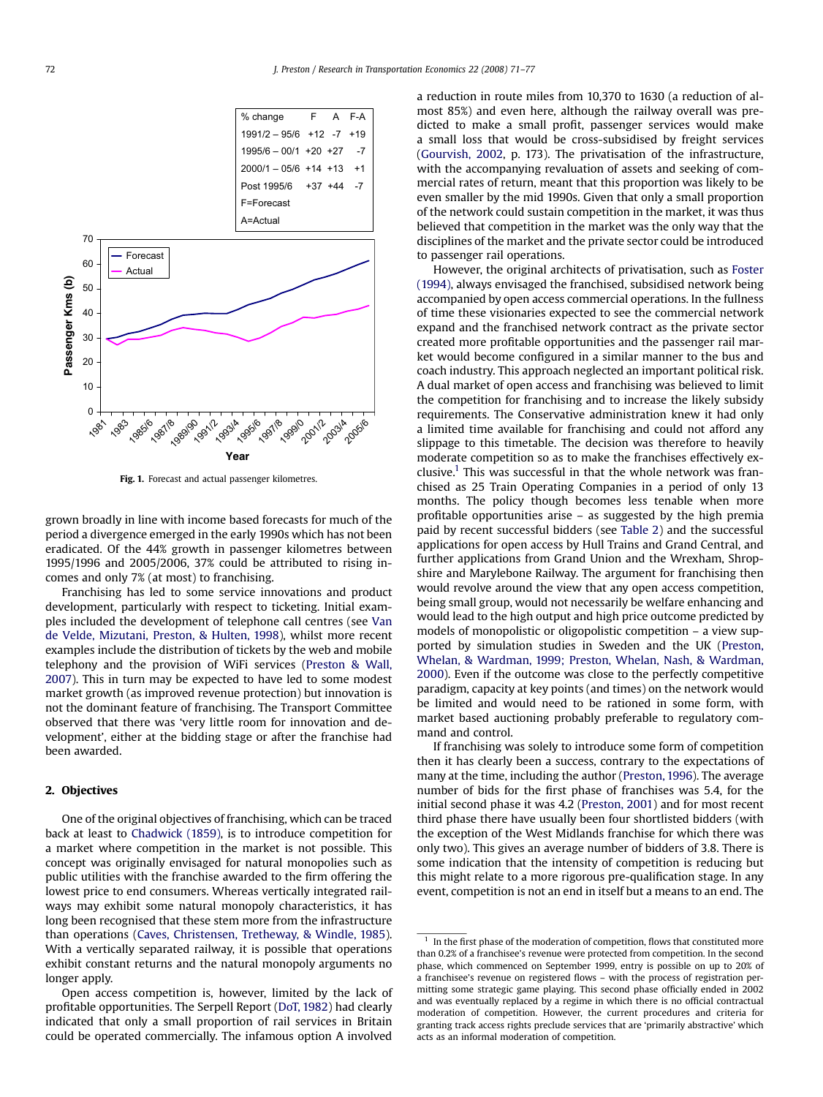<span id="page-1-0"></span>

Fig. 1. Forecast and actual passenger kilometres.

grown broadly in line with income based forecasts for much of the period a divergence emerged in the early 1990s which has not been eradicated. Of the 44% growth in passenger kilometres between 1995/1996 and 2005/2006, 37% could be attributed to rising incomes and only 7% (at most) to franchising.

Franchising has led to some service innovations and product development, particularly with respect to ticketing. Initial examples included the development of telephone call centres (see [Van](#page--1-0) [de Velde, Mizutani, Preston, & Hulten, 1998\)](#page--1-0), whilst more recent examples include the distribution of tickets by the web and mobile telephony and the provision of WiFi services ([Preston & Wall,](#page--1-0) [2007\)](#page--1-0). This in turn may be expected to have led to some modest market growth (as improved revenue protection) but innovation is not the dominant feature of franchising. The Transport Committee observed that there was 'very little room for innovation and development', either at the bidding stage or after the franchise had been awarded.

#### 2. Objectives

One of the original objectives of franchising, which can be traced back at least to [Chadwick \(1859\),](#page--1-0) is to introduce competition for a market where competition in the market is not possible. This concept was originally envisaged for natural monopolies such as public utilities with the franchise awarded to the firm offering the lowest price to end consumers. Whereas vertically integrated railways may exhibit some natural monopoly characteristics, it has long been recognised that these stem more from the infrastructure than operations [\(Caves, Christensen, Tretheway, & Windle, 1985\)](#page--1-0). With a vertically separated railway, it is possible that operations exhibit constant returns and the natural monopoly arguments no longer apply.

Open access competition is, however, limited by the lack of profitable opportunities. The Serpell Report [\(DoT, 1982](#page--1-0)) had clearly indicated that only a small proportion of rail services in Britain could be operated commercially. The infamous option A involved a reduction in route miles from 10,370 to 1630 (a reduction of almost 85%) and even here, although the railway overall was predicted to make a small profit, passenger services would make a small loss that would be cross-subsidised by freight services ([Gourvish, 2002](#page--1-0), p. 173). The privatisation of the infrastructure, with the accompanying revaluation of assets and seeking of commercial rates of return, meant that this proportion was likely to be even smaller by the mid 1990s. Given that only a small proportion of the network could sustain competition in the market, it was thus believed that competition in the market was the only way that the disciplines of the market and the private sector could be introduced to passenger rail operations.

However, the original architects of privatisation, such as [Foster](#page--1-0) [\(1994\)](#page--1-0), always envisaged the franchised, subsidised network being accompanied by open access commercial operations. In the fullness of time these visionaries expected to see the commercial network expand and the franchised network contract as the private sector created more profitable opportunities and the passenger rail market would become configured in a similar manner to the bus and coach industry. This approach neglected an important political risk. A dual market of open access and franchising was believed to limit the competition for franchising and to increase the likely subsidy requirements. The Conservative administration knew it had only a limited time available for franchising and could not afford any slippage to this timetable. The decision was therefore to heavily moderate competition so as to make the franchises effectively exclusive.<sup>1</sup> This was successful in that the whole network was franchised as 25 Train Operating Companies in a period of only 13 months. The policy though becomes less tenable when more profitable opportunities arise – as suggested by the high premia paid by recent successful bidders (see [Table 2](#page--1-0)) and the successful applications for open access by Hull Trains and Grand Central, and further applications from Grand Union and the Wrexham, Shropshire and Marylebone Railway. The argument for franchising then would revolve around the view that any open access competition, being small group, would not necessarily be welfare enhancing and would lead to the high output and high price outcome predicted by models of monopolistic or oligopolistic competition – a view supported by simulation studies in Sweden and the UK ([Preston,](#page--1-0) [Whelan, & Wardman, 1999; Preston, Whelan, Nash, & Wardman,](#page--1-0) [2000](#page--1-0)). Even if the outcome was close to the perfectly competitive paradigm, capacity at key points (and times) on the network would be limited and would need to be rationed in some form, with market based auctioning probably preferable to regulatory command and control.

If franchising was solely to introduce some form of competition then it has clearly been a success, contrary to the expectations of many at the time, including the author [\(Preston, 1996](#page--1-0)). The average number of bids for the first phase of franchises was 5.4, for the initial second phase it was 4.2 [\(Preston, 2001\)](#page--1-0) and for most recent third phase there have usually been four shortlisted bidders (with the exception of the West Midlands franchise for which there was only two). This gives an average number of bidders of 3.8. There is some indication that the intensity of competition is reducing but this might relate to a more rigorous pre-qualification stage. In any event, competition is not an end in itself but a means to an end. The

 $^{\rm 1}$  In the first phase of the moderation of competition, flows that constituted more than 0.2% of a franchisee's revenue were protected from competition. In the second phase, which commenced on September 1999, entry is possible on up to 20% of a franchisee's revenue on registered flows – with the process of registration permitting some strategic game playing. This second phase officially ended in 2002 and was eventually replaced by a regime in which there is no official contractual moderation of competition. However, the current procedures and criteria for granting track access rights preclude services that are 'primarily abstractive' which acts as an informal moderation of competition.